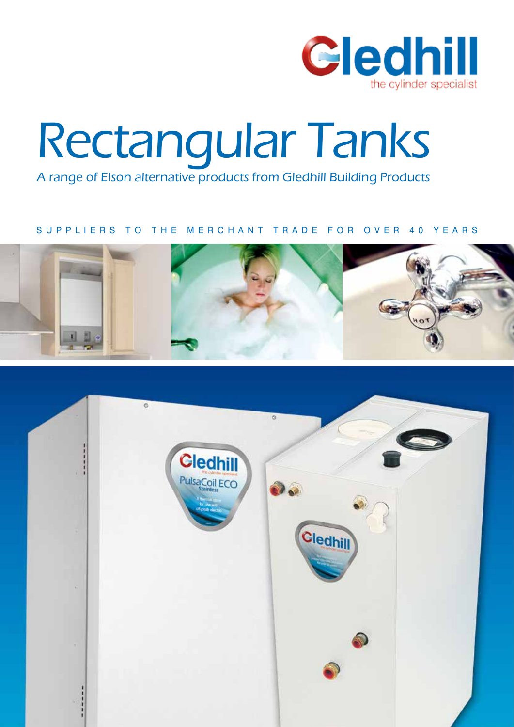

# Rectangular Tanks

A range of Elson alternative products from Gledhill Building Products

### SUPPLIERS TO THE MERCHANT TRADE FOR OVER 40 YEARS



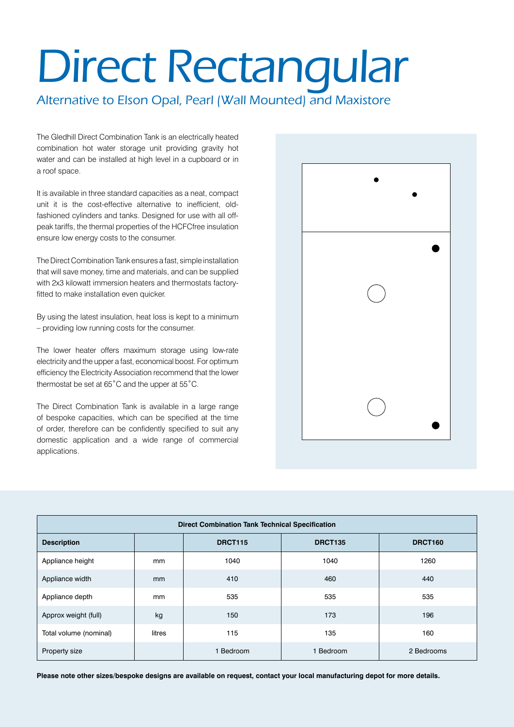## Direct Rectangular

Alternative to Elson Opal, Pearl (Wall Mounted) and Maxistore

The Gledhill Direct Combination Tank is an electrically heated combination hot water storage unit providing gravity hot water and can be installed at high level in a cupboard or in a roof space.

It is available in three standard capacities as a neat, compact unit it is the cost-effective alternative to inefficient, oldfashioned cylinders and tanks. Designed for use with all offpeak tariffs, the thermal properties of the HCFCfree insulation ensure low energy costs to the consumer.

The Direct Combination Tank ensures a fast, simple installation that will save money, time and materials, and can be supplied with 2x3 kilowatt immersion heaters and thermostats factoryfitted to make installation even quicker.

By using the latest insulation, heat loss is kept to a minimum – providing low running costs for the consumer.

The lower heater offers maximum storage using low-rate electricity and the upper a fast, economical boost. For optimum efficiency the Electricity Association recommend that the lower thermostat be set at 65˚C and the upper at 55˚C.

The Direct Combination Tank is available in a large range of bespoke capacities, which can be specified at the time of order, therefore can be confidently specified to suit any domestic application and a wide range of commercial applications.



| <b>Direct Combination Tank Technical Specification</b> |        |                                                    |         |            |  |  |  |
|--------------------------------------------------------|--------|----------------------------------------------------|---------|------------|--|--|--|
| <b>Description</b>                                     |        | <b>DRCT115</b><br><b>DRCT160</b><br><b>DRCT135</b> |         |            |  |  |  |
| Appliance height                                       | mm     | 1040                                               | 1040    | 1260       |  |  |  |
| Appliance width                                        | mm     | 410                                                | 460     | 440        |  |  |  |
| Appliance depth                                        | mm     | 535                                                | 535     | 535        |  |  |  |
| Approx weight (full)                                   | kg     | 150                                                | 173     | 196        |  |  |  |
| Total volume (nominal)                                 | litres | 115                                                | 135     | 160        |  |  |  |
| Property size                                          |        | 1 Bedroom                                          | Bedroom | 2 Bedrooms |  |  |  |

**Please note other sizes/bespoke designs are available on request, contact your local manufacturing depot for more details.**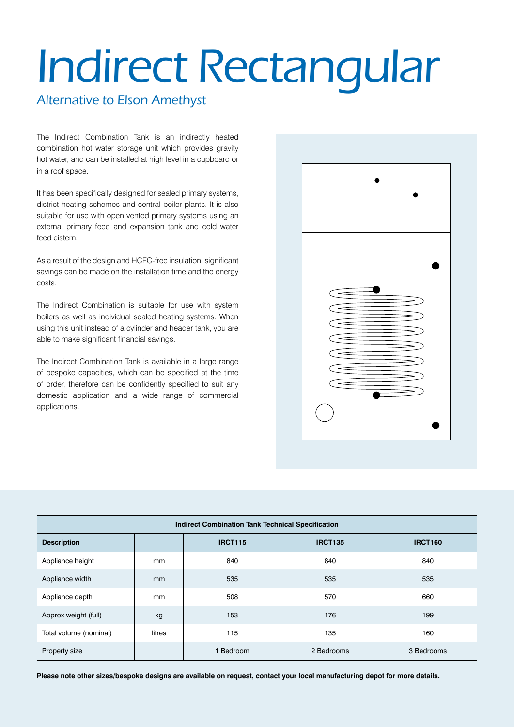## Indirect Rectangular

## Alternative to Elson Amethyst

The Indirect Combination Tank is an indirectly heated combination hot water storage unit which provides gravity hot water, and can be installed at high level in a cupboard or in a roof space.

It has been specifically designed for sealed primary systems, district heating schemes and central boiler plants. It is also suitable for use with open vented primary systems using an external primary feed and expansion tank and cold water feed cistern.

As a result of the design and HCFC-free insulation, significant savings can be made on the installation time and the energy costs.

The Indirect Combination is suitable for use with system boilers as well as individual sealed heating systems. When using this unit instead of a cylinder and header tank, you are able to make significant financial savings.

The Indirect Combination Tank is available in a large range of bespoke capacities, which can be specified at the time of order, therefore can be confidently specified to suit any domestic application and a wide range of commercial applications.



| <b>Indirect Combination Tank Technical Specification</b> |        |                |                |            |  |  |
|----------------------------------------------------------|--------|----------------|----------------|------------|--|--|
| <b>Description</b>                                       |        | <b>IRCT115</b> | <b>IRCT160</b> |            |  |  |
| Appliance height                                         | mm     | 840            | 840            | 840        |  |  |
| Appliance width                                          | mm     | 535            | 535            | 535        |  |  |
| Appliance depth                                          | mm     | 508            | 570            | 660        |  |  |
| Approx weight (full)                                     | kg     | 153            | 176            | 199        |  |  |
| Total volume (nominal)                                   | litres | 115            | 135            | 160        |  |  |
| Property size                                            |        | Bedroom        | 2 Bedrooms     | 3 Bedrooms |  |  |

**Please note other sizes/bespoke designs are available on request, contact your local manufacturing depot for more details.**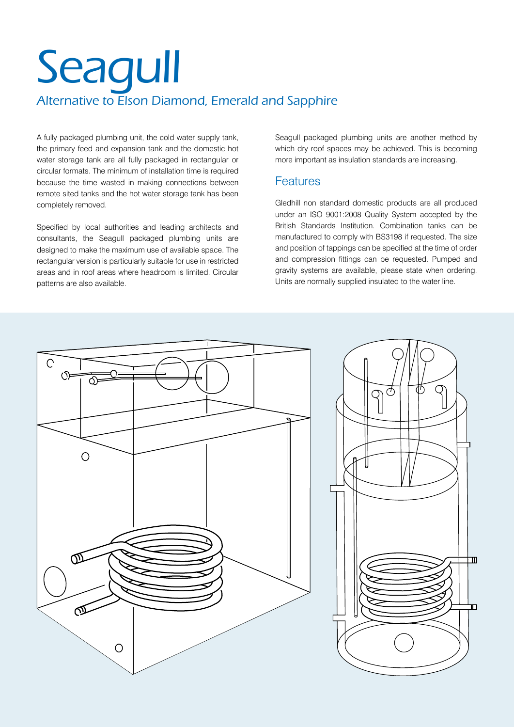## **Seagull** Alternative to Elson Diamond, Emerald and Sapphire

A fully packaged plumbing unit, the cold water supply tank, the primary feed and expansion tank and the domestic hot water storage tank are all fully packaged in rectangular or circular formats. The minimum of installation time is required because the time wasted in making connections between remote sited tanks and the hot water storage tank has been completely removed.

Specified by local authorities and leading architects and consultants, the Seagull packaged plumbing units are designed to make the maximum use of available space. The rectangular version is particularly suitable for use in restricted areas and in roof areas where headroom is limited. Circular patterns are also available.

Seagull packaged plumbing units are another method by which dry roof spaces may be achieved. This is becoming more important as insulation standards are increasing.

## Features

Gledhill non standard domestic products are all produced under an ISO 9001:2008 Quality System accepted by the British Standards Institution. Combination tanks can be manufactured to comply with BS3198 if requested. The size and position of tappings can be specified at the time of order and compression fittings can be requested. Pumped and gravity systems are available, please state when ordering. Units are normally supplied insulated to the water line.

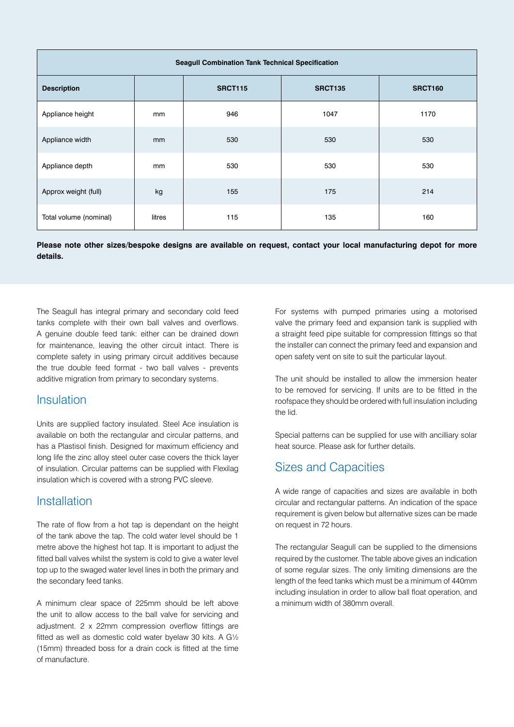| <b>Seagull Combination Tank Technical Specification</b> |               |                |                |         |  |  |
|---------------------------------------------------------|---------------|----------------|----------------|---------|--|--|
| <b>Description</b>                                      |               | <b>SRCT115</b> | <b>SRCT135</b> | SRCT160 |  |  |
| Appliance height                                        | <sub>mm</sub> | 946            | 1047           | 1170    |  |  |
| Appliance width                                         | mm            | 530            | 530            | 530     |  |  |
| Appliance depth                                         | mm            | 530            | 530            | 530     |  |  |
| Approx weight (full)                                    | kg            | 155            | 175            | 214     |  |  |
| Total volume (nominal)                                  | litres        | 115            | 135            | 160     |  |  |

**Please note other sizes/bespoke designs are available on request, contact your local manufacturing depot for more details.**

The Seagull has integral primary and secondary cold feed tanks complete with their own ball valves and overflows. A genuine double feed tank: either can be drained down for maintenance, leaving the other circuit intact. There is complete safety in using primary circuit additives because the true double feed format - two ball valves - prevents additive migration from primary to secondary systems.

### Insulation

Units are supplied factory insulated. Steel Ace insulation is available on both the rectangular and circular patterns, and has a Plastisol finish. Designed for maximum efficiency and long life the zinc alloy steel outer case covers the thick layer of insulation. Circular patterns can be supplied with Flexilag insulation which is covered with a strong PVC sleeve.

### **Installation**

The rate of flow from a hot tap is dependant on the height of the tank above the tap. The cold water level should be 1 metre above the highest hot tap. It is important to adjust the fitted ball valves whilst the system is cold to give a water level top up to the swaged water level lines in both the primary and the secondary feed tanks.

A minimum clear space of 225mm should be left above the unit to allow access to the ball valve for servicing and adjustment. 2 x 22mm compression overflow fittings are fitted as well as domestic cold water byelaw 30 kits. A G½ (15mm) threaded boss for a drain cock is fitted at the time of manufacture.

For systems with pumped primaries using a motorised valve the primary feed and expansion tank is supplied with a straight feed pipe suitable for compression fittings so that the installer can connect the primary feed and expansion and open safety vent on site to suit the particular layout.

The unit should be installed to allow the immersion heater to be removed for servicing. If units are to be fitted in the roofspace they should be ordered with full insulation including the lid.

Special patterns can be supplied for use with ancilliary solar heat source. Please ask for further details.

## Sizes and Capacities

A wide range of capacities and sizes are available in both circular and rectangular patterns. An indication of the space requirement is given below but alternative sizes can be made on request in 72 hours.

The rectangular Seagull can be supplied to the dimensions required by the customer. The table above gives an indication of some regular sizes. The only limiting dimensions are the length of the feed tanks which must be a minimum of 440mm including insulation in order to allow ball float operation, and a minimum width of 380mm overall.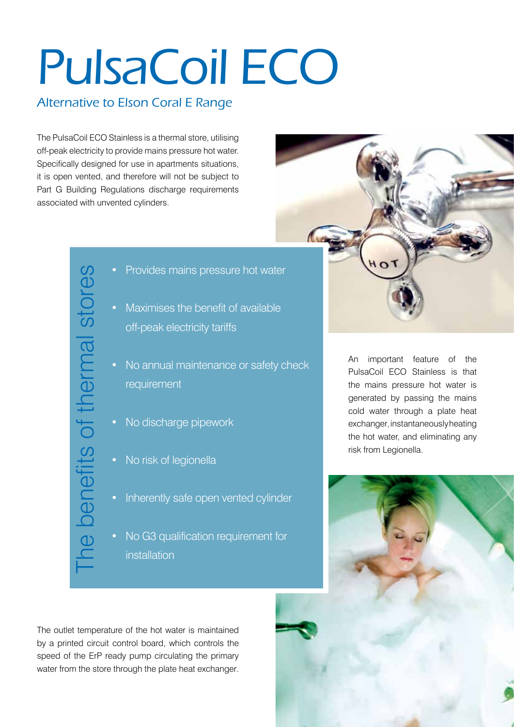# PulsaCoil ECO

## Alternative to Elson Coral E Range

The PulsaCoil ECO Stainless is a thermal store, utilising off-peak electricity to provide mains pressure hot water. Specifically designed for use in apartments situations, it is open vented, and therefore will not be subject to Part G Building Regulations discharge requirements associated with unvented cylinders.

- 
- Maximises the benefit of available off-peak electricity tariffs
- No annual maintenance or safety check requirement
	- No discharge pipework
- No risk of legionella
- Inherently safe open vented cylinder
- No G3 qualification requirement for installation

The outlet temperature of the hot water is maintained by a printed circuit control board, which controls the speed of the ErP ready pump circulating the primary • Provides mains pressure hot water<br>• Maximises the benefit of available<br>off-peak electricity tariffs<br>• No annual maintenance or safety c<br>requirement<br>• No discharge pipework<br>• No risk of legionella<br>• Inherently safe open

An important feature of the PulsaCoil ECO Stainless is that the mains pressure hot water is generated by passing the mains cold water through a plate heat exchanger, instantaneously heating the hot water, and eliminating any risk from Legionella.

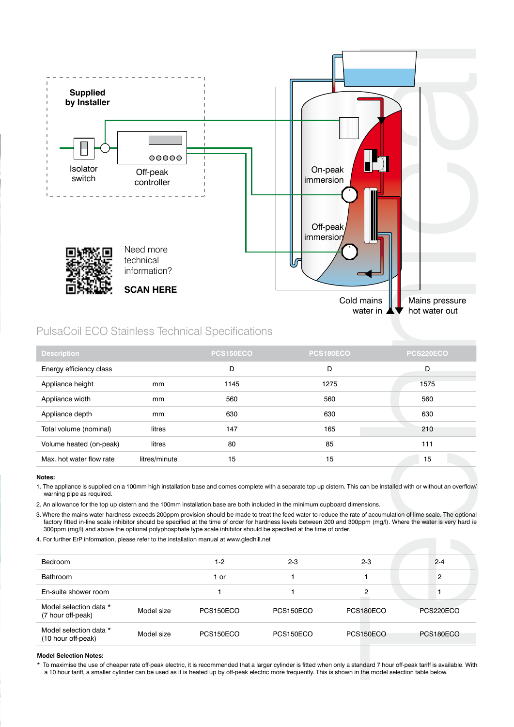

### PulsaCoil ECO Stainless Technical Specifications

| <b>Description</b>       |               | <b>PCS150ECO</b> | <b>PCS180ECO</b> | PCS220ECO |
|--------------------------|---------------|------------------|------------------|-----------|
| Energy efficiency class  |               | D                | D                | D         |
| Appliance height         | mm            | 1145             | 1275             | 1575      |
| Appliance width          | mm            | 560              | 560              | 560       |
| Appliance depth          | mm            | 630              | 630              | 630       |
| Total volume (nominal)   | litres        | 147              | 165              | 210       |
| Volume heated (on-peak)  | litres        | 80               | 85               | 111       |
| Max, hot water flow rate | litres/minute | 15               | 15               | 15        |

#### **Notes:**

1. The appliance is supplied on a 100mm high installation base and comes complete with a separate top up cistern. This can be installed with or without an overflow/ warning pipe as required.

2. An allowance for the top up cistern and the 100mm installation base are both included in the minimum cupboard dimensions.

3. Where the mains water hardness exceeds 200ppm provision should be made to treat the feed water to reduce the rate of accumulation of lime scale. The optional factory fitted in-line scale inhibitor should be specified at the time of order for hardness levels between 200 and 300ppm (mg/l). Where the water is very hard ie 300ppm (mg/l) and above the optional polyphosphate type scale inhibitor should be specified at the time of order.

4. For further ErP information, please refer to the installation manual at www.gledhill.net

| <b>Bedroom</b>                               |            | $1 - 2$   | $2 - 3$   | $2 - 3$          | $2 - 4$   |
|----------------------------------------------|------------|-----------|-----------|------------------|-----------|
| <b>Bathroom</b>                              |            | 1 or      |           |                  | 2         |
| En-suite shower room                         |            |           |           | 2                |           |
| Model selection data *<br>(7 hour off-peak)  | Model size | PCS150ECO | PCS150ECO | PCS180ECO        | PCS220ECO |
| Model selection data *<br>(10 hour off-peak) | Model size | PCS150ECO | PCS150ECO | <b>PCS150ECO</b> | PCS180ECO |

#### **Model Selection Notes:**

\* To maximise the use of cheaper rate off-peak electric, it is recommended that a larger cylinder is fitted when only a standard 7 hour off-peak tariff is available. With a 10 hour tariff, a smaller cylinder can be used as it is heated up by off-peak electric more frequently. This is shown in the model selection table below.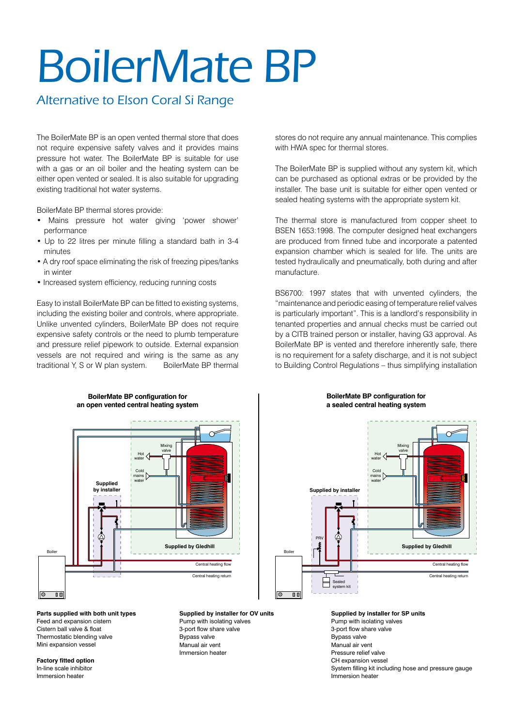## BoilerMate BP

## Alternative to Elson Coral Si Range

The BoilerMate BP is an open vented thermal store that does not require expensive safety valves and it provides mains pressure hot water. The BoilerMate BP is suitable for use with a gas or an oil boiler and the heating system can be either open vented or sealed. It is also suitable for upgrading existing traditional hot water systems.

BoilerMate BP thermal stores provide:

- Mains pressure hot water giving 'power shower' performance
- Up to 22 litres per minute filling a standard bath in 3-4 minutes
- A dry roof space eliminating the risk of freezing pipes/tanks in winter
- Increased system efficiency, reducing running costs

Easy to install BoilerMate BP can be fitted to existing systems, including the existing boiler and controls, where appropriate. Unlike unvented cylinders, BoilerMate BP does not require expensive safety controls or the need to plumb temperature and pressure relief pipework to outside. External expansion vessels are not required and wiring is the same as any traditional Y, S or W plan system. BoilerMate BP thermal

**BoilerMate BP configuration for**

stores do not require any annual maintenance. This complies with HWA spec for thermal stores.

The BoilerMate BP is supplied without any system kit, which can be purchased as optional extras or be provided by the installer. The base unit is suitable for either open vented or sealed heating systems with the appropriate system kit.

The thermal store is manufactured from copper sheet to BSEN 1653:1998. The computer designed heat exchangers are produced from finned tube and incorporate a patented expansion chamber which is sealed for life. The units are tested hydraulically and pneumatically, both during and after manufacture.

BS6700: 1997 states that with unvented cylinders, the "maintenance and periodic easing of temperature relief valves is particularly important". This is a landlord's responsibility in tenanted properties and annual checks must be carried out by a CITB trained person or installer, having G3 approval. As BoilerMate BP is vented and therefore inherently safe, there is no requirement for a safety discharge, and it is not subject to Building Control Regulations – thus simplifying installation



**Parts supplied with both unit types** Feed and expansion cistern Cistern ball valve & float Thermostatic blending valve Mini expansion vessel

**Factory fitted option** In-line scale inhibitor Immersion heater

**Supplied by installer for OV units** Pump with isolating valves 3-port flow share valve Bypass valve Manual air vent Immersion heater

#### **BoilerMate BP configuration for a sealed central heating system**



**Supplied by installer for SP units** Pump with isolating valves 3-port flow share valve Bypass valve Manual air vent Pressure relief valve CH expansion vessel System filling kit including hose and pressure gauge Immersion heater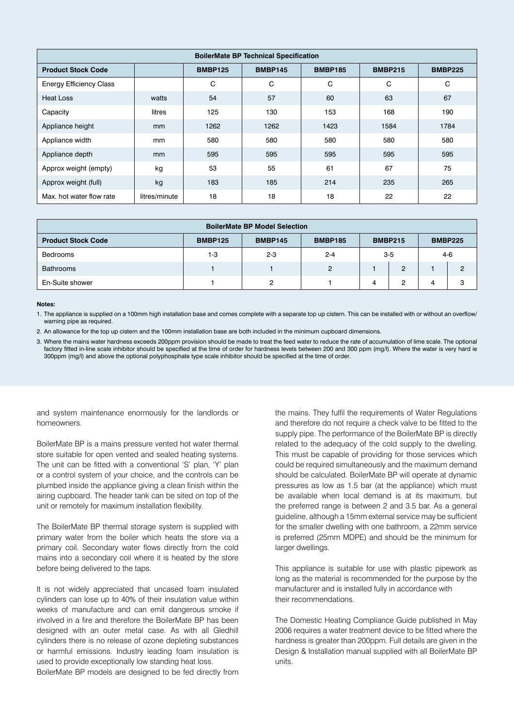| <b>BoilerMate BP Technical Specification</b> |               |                |                |                |                |                |  |
|----------------------------------------------|---------------|----------------|----------------|----------------|----------------|----------------|--|
| <b>Product Stock Code</b>                    |               | <b>BMBP125</b> | <b>BMBP145</b> | <b>BMBP185</b> | <b>BMBP215</b> | <b>BMBP225</b> |  |
| <b>Energy Efficiency Class</b>               |               | C              | C              | C              | C              | C              |  |
| Heat Loss                                    | watts         | 54             | 57             | 60             | 63             | 67             |  |
| Capacity                                     | litres        | 125            | 130            | 153            | 168            | 190            |  |
| Appliance height                             | <sub>mm</sub> | 1262           | 1262           | 1423           | 1584           | 1784           |  |
| Appliance width                              | mm            | 580            | 580            | 580            | 580            | 580            |  |
| Appliance depth                              | mm            | 595            | 595            | 595            | 595            | 595            |  |
| Approx weight (empty)                        | kg            | 53             | 55             | 61             | 67             | 75             |  |
| Approx weight (full)                         | kg            | 183            | 185            | 214            | 235            | 265            |  |
| Max, hot water flow rate                     | litres/minute | 18             | 18             | 18             | 22             | 22             |  |

| <b>BoilerMate BP Model Selection</b>                                                                                |     |         |                |       |                |  |                |
|---------------------------------------------------------------------------------------------------------------------|-----|---------|----------------|-------|----------------|--|----------------|
| <b>Product Stock Code</b><br><b>BMBP125</b><br><b>BMBP145</b><br><b>BMBP185</b><br><b>BMBP215</b><br><b>BMBP225</b> |     |         |                |       |                |  |                |
| Bedrooms                                                                                                            | 1-3 | $2 - 3$ | $2 - 4$        | $3-5$ |                |  | $4-6$          |
| <b>Bathrooms</b>                                                                                                    |     |         | $\overline{2}$ |       | $\overline{2}$ |  | $\overline{2}$ |
| En-Suite shower                                                                                                     |     | $\circ$ |                | 4     | 2              |  | 3              |

#### **Notes:**

1. The appliance is supplied on a 100mm high installation base and comes complete with a separate top up cistern. This can be installed with or without an overflow/ warning pipe as required.

2. An allowance for the top up cistern and the 100mm installation base are both included in the minimum cupboard dimensions.

3. Where the mains water hardness exceeds 200ppm provision should be made to treat the feed water to reduce the rate of accumulation of lime scale. The optional factory fitted in-line scale inhibitor should be specified at the time of order for hardness levels between 200 and 300 ppm (mg/l). Where the water is very hard ie 300ppm (mg/l) and above the optional polyphosphate type scale inhibitor should be specified at the time of order.

and system maintenance enormously for the landlords or homeowners.

BoilerMate BP is a mains pressure vented hot water thermal store suitable for open vented and sealed heating systems. The unit can be fitted with a conventional 'S' plan, 'Y' plan or a control system of your choice, and the controls can be plumbed inside the appliance giving a clean finish within the airing cupboard. The header tank can be sited on top of the unit or remotely for maximum installation flexibility.

The BoilerMate BP thermal storage system is supplied with primary water from the boiler which heats the store via a primary coil. Secondary water flows directly from the cold mains into a secondary coil where it is heated by the store before being delivered to the taps.

It is not widely appreciated that uncased foam insulated cylinders can lose up to 40% of their insulation value within weeks of manufacture and can emit dangerous smoke if involved in a fire and therefore the BoilerMate BP has been designed with an outer metal case. As with all Gledhill cylinders there is no release of ozone depleting substances or harmful emissions. Industry leading foam insulation is used to provide exceptionally low standing heat loss.

BoilerMate BP models are designed to be fed directly from

the mains. They fulfil the requirements of Water Regulations and therefore do not require a check valve to be fitted to the supply pipe. The performance of the BoilerMate BP is directly related to the adequacy of the cold supply to the dwelling. This must be capable of providing for those services which could be required simultaneously and the maximum demand should be calculated. BoilerMate BP will operate at dynamic pressures as low as 1.5 bar (at the appliance) which must be available when local demand is at its maximum, but the preferred range is between 2 and 3.5 bar. As a general guideline, although a 15mm external service may be sufficient for the smaller dwelling with one bathroom, a 22mm service is preferred (25mm MDPE) and should be the minimum for larger dwellings.

This appliance is suitable for use with plastic pipework as long as the material is recommended for the purpose by the manufacturer and is installed fully in accordance with their recommendations.

The Domestic Heating Compliance Guide published in May 2006 requires a water treatment device to be fitted where the hardness is greater than 200ppm. Full details are given in the Design & Installation manual supplied with all BoilerMate BP units.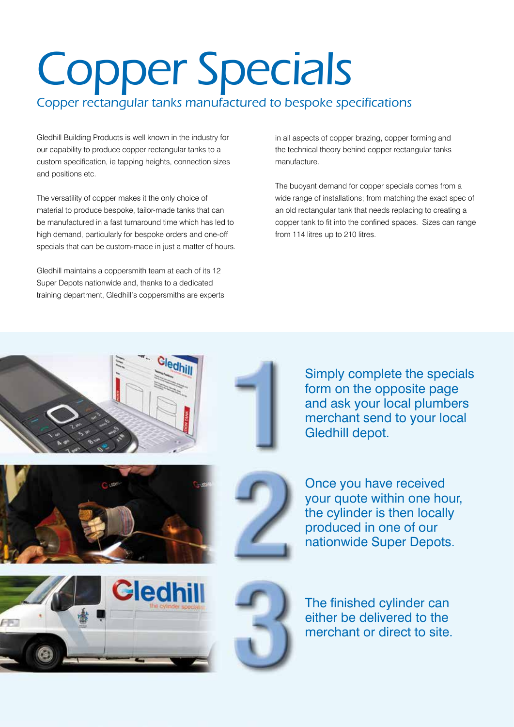# Copper Specials

## Copper rectangular tanks manufactured to bespoke specifications

Gledhill Building Products is well known in the industry for our capability to produce copper rectangular tanks to a custom specification, ie tapping heights, connection sizes and positions etc.

The versatility of copper makes it the only choice of material to produce bespoke, tailor-made tanks that can be manufactured in a fast turnaround time which has led to high demand, particularly for bespoke orders and one-off specials that can be custom-made in just a matter of hours.

Gledhill maintains a coppersmith team at each of its 12 Super Depots nationwide and, thanks to a dedicated training department, Gledhill's coppersmiths are experts in all aspects of copper brazing, copper forming and the technical theory behind copper rectangular tanks manufacture.

The buoyant demand for copper specials comes from a wide range of installations; from matching the exact spec of an old rectangular tank that needs replacing to creating a copper tank to fit into the confined spaces. Sizes can range from 114 litres up to 210 litres.













The finished cylinder can either be delivered to the merchant or direct to site.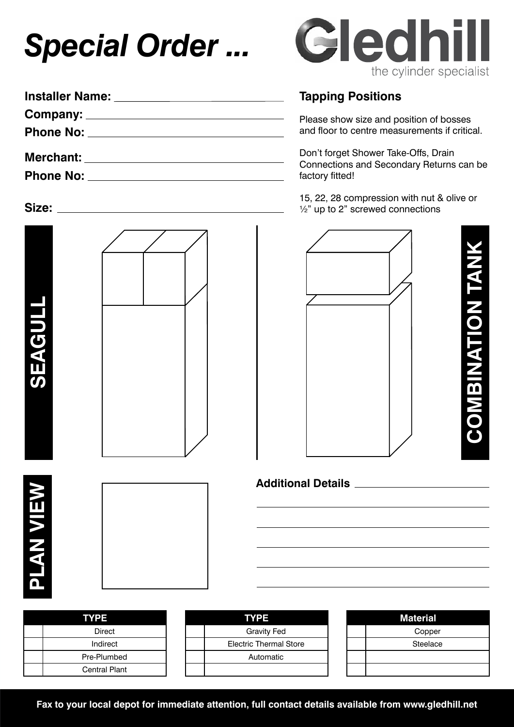## *Special Order ...*

| <b>Installer Name:</b>                                                                                                                                                                                                              |
|-------------------------------------------------------------------------------------------------------------------------------------------------------------------------------------------------------------------------------------|
|                                                                                                                                                                                                                                     |
|                                                                                                                                                                                                                                     |
|                                                                                                                                                                                                                                     |
| <b>Merchant:</b> Merchant:                                                                                                                                                                                                          |
| <b>Phone No:</b> The Management of the Management of the Management of the Management of the Management of the Management of the Management of the Management of the Management of the Management of the Management of the Manageme |
|                                                                                                                                                                                                                                     |

## **Size:**







## **Tapping Positions**

Please show size and position of bosses and floor to centre measurements if critical.

Don't forget Shower Take-Offs, Drain Connections and Secondary Returns can be factory fitted!

15, 22, 28 compression with nut & olive or  $\frac{1}{2}$ " up to 2" screwed connections



| I |
|---|
|   |
|   |
|   |
|   |
|   |
|   |
|   |
|   |
|   |
|   |

**Additional Details**

| <b>TYPE</b>          | <b>TYPE</b>                   |  | <b>Material</b> |
|----------------------|-------------------------------|--|-----------------|
| Direct               | <b>Gravity Fed</b>            |  | Copper          |
| Indirect             | <b>Electric Thermal Store</b> |  | Steelace        |
| Pre-Plumbed          | Automatic                     |  |                 |
| <b>Central Plant</b> |                               |  |                 |